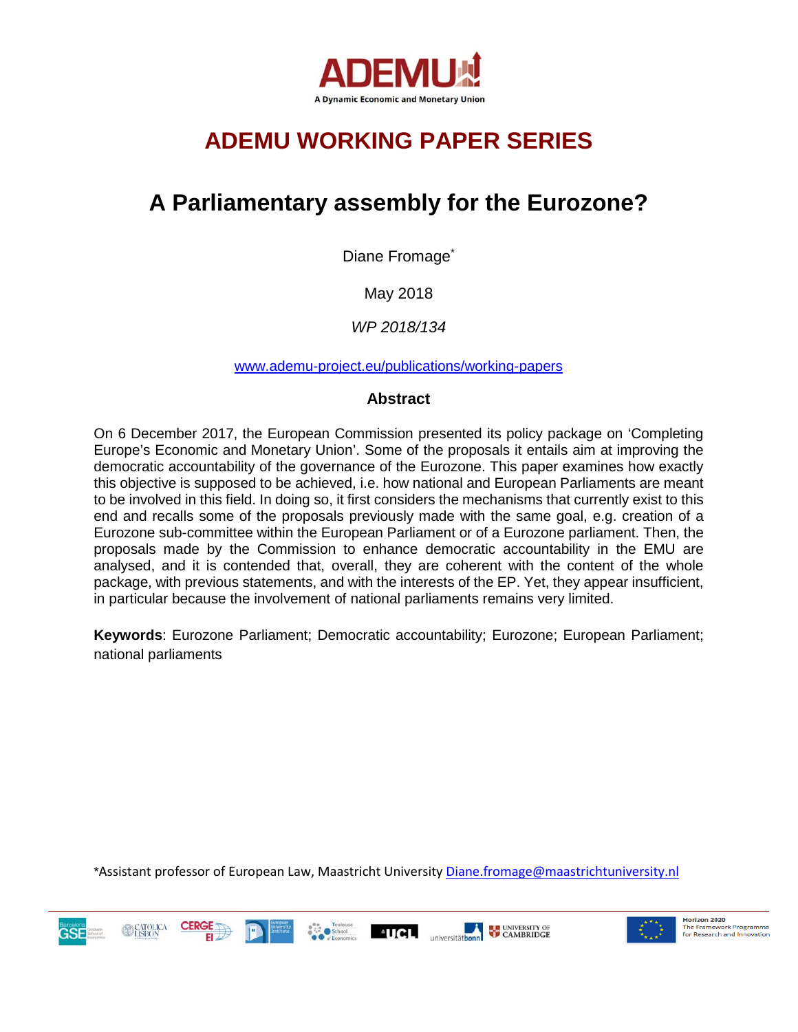

# **ADEMU WORKING PAPER SERIES**

## **A Parliamentary assembly for the Eurozone?**

Diane Fromage<sup>\*</sup>

May 2018

*WP 2018/134*

[www.ademu-project.eu/publications/working-papers](http://www.ademu-project.eu/publications/working-papers)

#### **Abstract**

On 6 December 2017, the European Commission presented its policy package on 'Completing Europe's Economic and Monetary Union'. Some of the proposals it entails aim at improving the democratic accountability of the governance of the Eurozone. This paper examines how exactly this objective is supposed to be achieved, i.e. how national and European Parliaments are meant to be involved in this field. In doing so, it first considers the mechanisms that currently exist to this end and recalls some of the proposals previously made with the same goal, e.g. creation of a Eurozone sub-committee within the European Parliament or of a Eurozone parliament. Then, the proposals made by the Commission to enhance democratic accountability in the EMU are analysed, and it is contended that, overall, they are coherent with the content of the whole package, with previous statements, and with the interests of the EP. Yet, they appear insufficient, in particular because the involvement of national parliaments remains very limited.

**Keywords**: Eurozone Parliament; Democratic accountability; Eurozone; European Parliament; national parliaments

\*Assistant professor of European Law, Maastricht University [Diane.fromage@maastrichtuniversity.nl](mailto:Diane.fromage@maastrichtuniversity.nl)





Horizon 2020 **Horizon 2020**<br>The Framework Programme<br>for Research and Innovation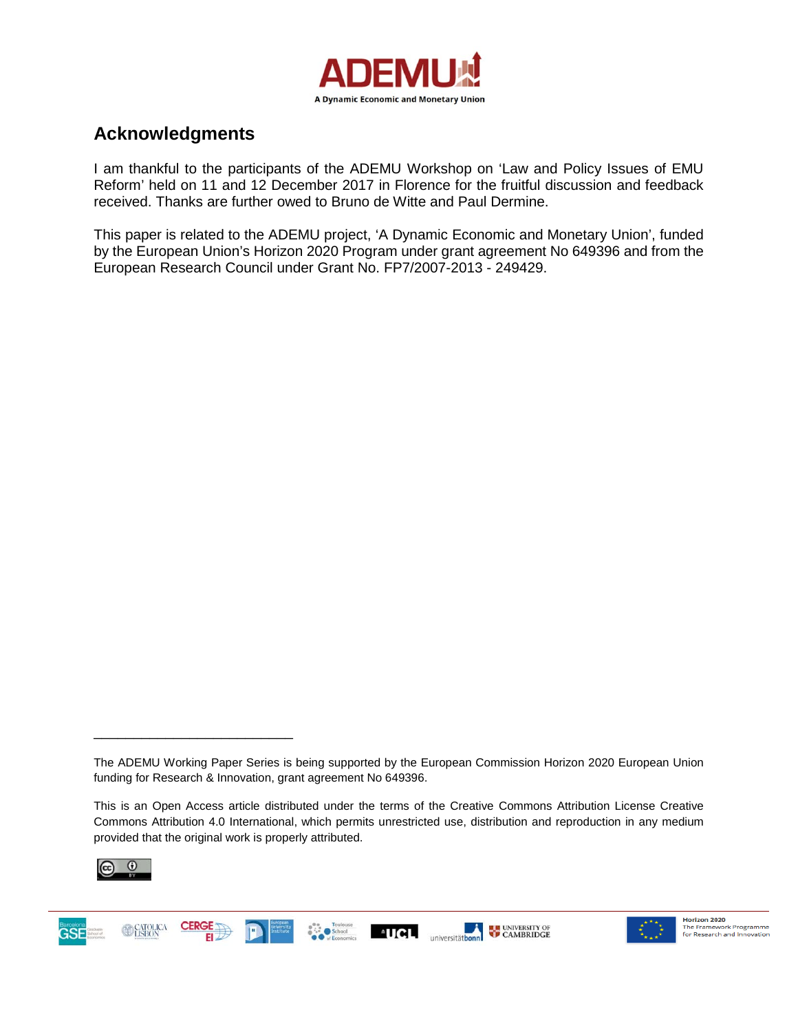

### **Acknowledgments**

I am thankful to the participants of the ADEMU Workshop on 'Law and Policy Issues of EMU Reform' held on 11 and 12 December 2017 in Florence for the fruitful discussion and feedback received. Thanks are further owed to Bruno de Witte and Paul Dermine.

This paper is related to the ADEMU project, 'A Dynamic Economic and Monetary Union', funded by the European Union's Horizon 2020 Program under grant agreement No 649396 and from the European Research Council under Grant No. FP7/2007-2013 - 249429.

This is an Open Access article distributed under the terms of the Creative Commons Attribution License Creative Commons Attribution 4.0 International, which permits unrestricted use, distribution and reproduction in any medium provided that the original work is properly attributed.



\_\_\_\_\_\_\_\_\_\_\_\_\_\_\_\_\_\_\_\_\_\_\_\_\_





The ADEMU Working Paper Series is being supported by the European Commission Horizon 2020 European Union funding for Research & Innovation, grant agreement No 649396.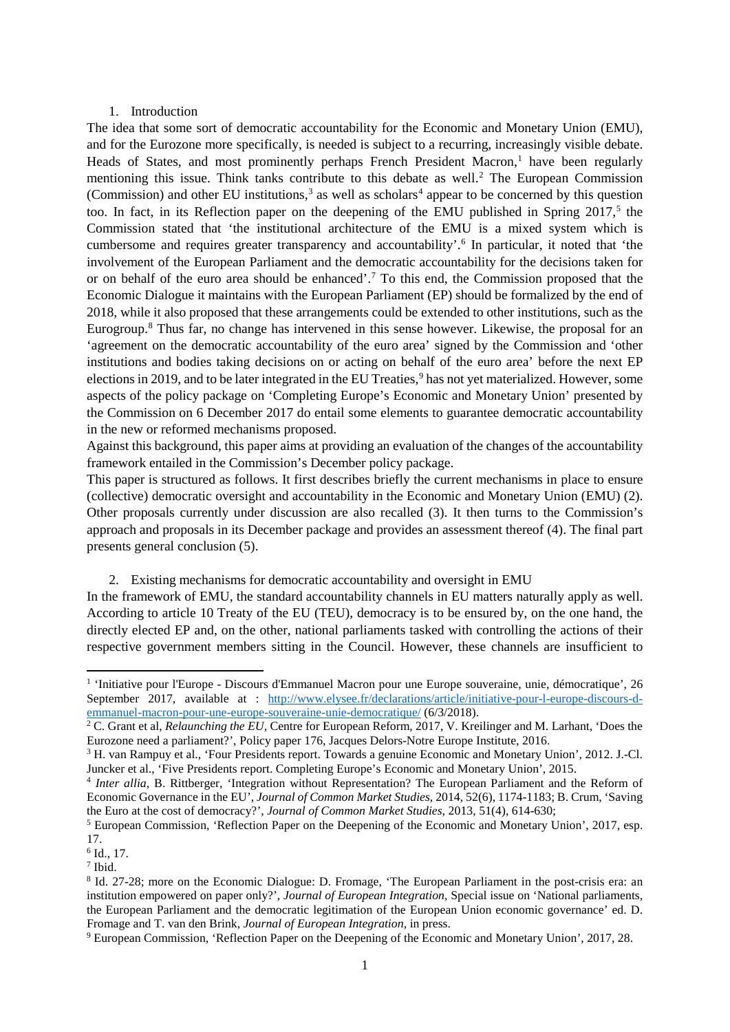#### 1. Introduction

The idea that some sort of democratic accountability for the Economic and Monetary Union (EMU), and for the Eurozone more specifically, is needed is subject to a recurring, increasingly visible debate. Heads of States, and most prominently perhaps French President Macron, $<sup>1</sup>$  have been regularly</sup> mentioning this issue. Think tanks contribute to this debate as well.<sup>[2](#page-2-1)</sup> The European Commission (Commission) and other EU institutions,<sup>[3](#page-2-2)</sup> as well as scholars<sup>4</sup> appear to be concerned by this question too. In fact, in its Reflection paper on the deepening of the EMU published in Spring 2017, [5](#page-2-4) the Commission stated that 'the institutional architecture of the EMU is a mixed system which is cumbersome and requires greater transparency and accountability'. [6](#page-2-5) In particular, it noted that 'the involvement of the European Parliament and the democratic accountability for the decisions taken for or on behalf of the euro area should be enhanced'.[7](#page-2-6) To this end, the Commission proposed that the Economic Dialogue it maintains with the European Parliament (EP) should be formalized by the end of 2018, while it also proposed that these arrangements could be extended to other institutions, such as the Eurogroup.[8](#page-2-7) Thus far, no change has intervened in this sense however. Likewise, the proposal for an 'agreement on the democratic accountability of the euro area' signed by the Commission and 'other institutions and bodies taking decisions on or acting on behalf of the euro area' before the next EP elections in 201[9](#page-2-8), and to be later integrated in the EU Treaties,<sup>9</sup> has not yet materialized. However, some aspects of the policy package on 'Completing Europe's Economic and Monetary Union' presented by the Commission on 6 December 2017 do entail some elements to guarantee democratic accountability in the new or reformed mechanisms proposed.

Against this background, this paper aims at providing an evaluation of the changes of the accountability framework entailed in the Commission's December policy package.

This paper is structured as follows. It first describes briefly the current mechanisms in place to ensure (collective) democratic oversight and accountability in the Economic and Monetary Union (EMU) (2). Other proposals currently under discussion are also recalled (3). It then turns to the Commission's approach and proposals in its December package and provides an assessment thereof (4). The final part presents general conclusion (5).

2. Existing mechanisms for democratic accountability and oversight in EMU

In the framework of EMU, the standard accountability channels in EU matters naturally apply as well. According to article 10 Treaty of the EU (TEU), democracy is to be ensured by, on the one hand, the directly elected EP and, on the other, national parliaments tasked with controlling the actions of their respective government members sitting in the Council. However, these channels are insufficient to

<span id="page-2-0"></span><sup>&</sup>lt;sup>1</sup> 'Initiative pour l'Europe - Discours d'Emmanuel Macron pour une Europe souveraine, unie, démocratique', 26 September 2017, available at : [http://www.elysee.fr/declarations/article/initiative-pour-l-europe-discours-d](http://www.elysee.fr/declarations/article/initiative-pour-l-europe-discours-d-emmanuel-macron-pour-une-europe-souveraine-unie-democratique/)[emmanuel-macron-pour-une-europe-souveraine-unie-democratique/](http://www.elysee.fr/declarations/article/initiative-pour-l-europe-discours-d-emmanuel-macron-pour-une-europe-souveraine-unie-democratique/) (6/3/2018).

<span id="page-2-1"></span><sup>&</sup>lt;sup>2</sup> C. Grant et al, *Relaunching the EU*, Centre for European Reform, 2017, V. Kreilinger and M. Larhant, 'Does the Eurozone need a parliament?', Policy paper 176, Jacques Delors-Notre Europe Institute, 2016.

<span id="page-2-2"></span><sup>&</sup>lt;sup>3</sup> H. van Rampuy et al., 'Four Presidents report. Towards a genuine Economic and Monetary Union', 2012. J.-Cl. Juncker et al., 'Five Presidents report. Completing Europe's Economic and Monetary Union', 2015.

<span id="page-2-3"></span><sup>4</sup> *Inter allia*, B. Rittberger, 'Integration without Representation? The European Parliament and the Reform of Economic Governance in the EU', *Journal of Common Market Studies*, 2014, 52(6), 1174-1183; B. Crum, 'Saving the Euro at the cost of democracy?', *Journal of Common Market Studies*, 2013, 51(4), 614-630;

<span id="page-2-4"></span><sup>&</sup>lt;sup>5</sup> European Commission, 'Reflection Paper on the Deepening of the Economic and Monetary Union', 2017, esp. 17.

<span id="page-2-5"></span> $6$  Id., 17.

<span id="page-2-6"></span><sup>7</sup> Ibid.

<span id="page-2-7"></span><sup>8</sup> Id. 27-28; more on the Economic Dialogue: D. Fromage, 'The European Parliament in the post-crisis era: an institution empowered on paper only?', *Journal of European Integration*, Special issue on 'National parliaments, the European Parliament and the democratic legitimation of the European Union economic governance' ed. D. Fromage and T. van den Brink, *Journal of European Integration*, in press.<br><sup>9</sup> European Commission, 'Reflection Paper on the Deepening of the Economic and Monetary Union', 2017, 28.

<span id="page-2-8"></span>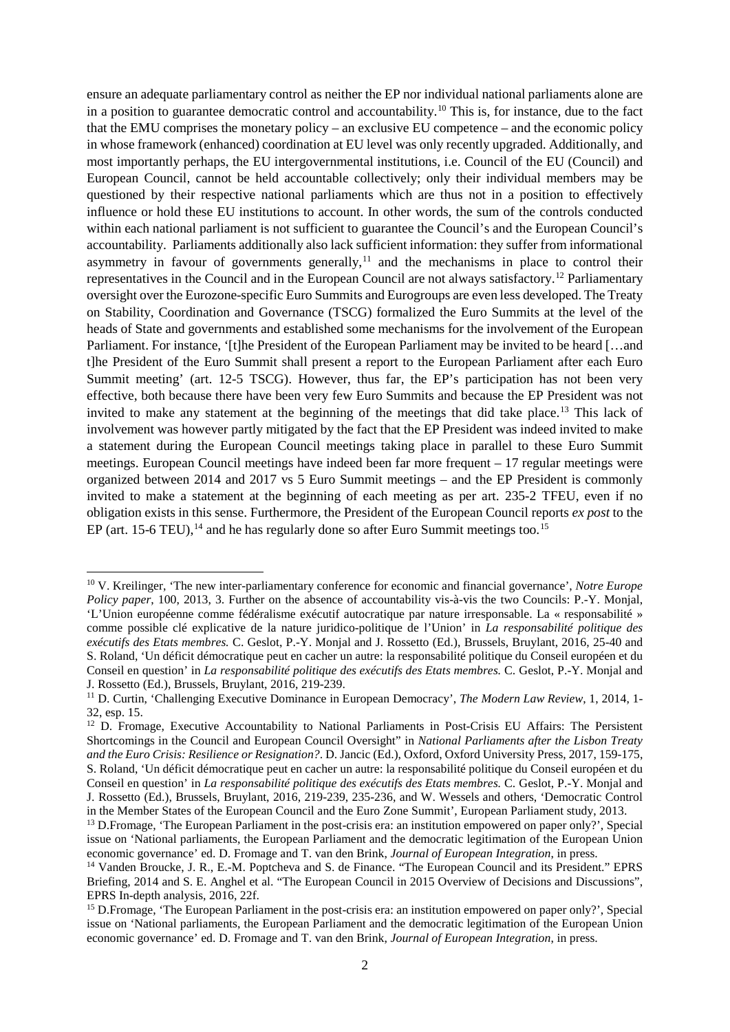ensure an adequate parliamentary control as neither the EP nor individual national parliaments alone are in a position to guarantee democratic control and accountability.<sup>[10](#page-3-0)</sup> This is, for instance, due to the fact that the EMU comprises the monetary policy – an exclusive EU competence – and the economic policy in whose framework (enhanced) coordination at EU level was only recently upgraded. Additionally, and most importantly perhaps, the EU intergovernmental institutions, i.e. Council of the EU (Council) and European Council, cannot be held accountable collectively; only their individual members may be questioned by their respective national parliaments which are thus not in a position to effectively influence or hold these EU institutions to account. In other words, the sum of the controls conducted within each national parliament is not sufficient to guarantee the Council's and the European Council's accountability. Parliaments additionally also lack sufficient information: they suffer from informational asymmetry in favour of governments generally, $<sup>11</sup>$  $<sup>11</sup>$  $<sup>11</sup>$  and the mechanisms in place to control their</sup> representatives in the Council and in the European Council are not always satisfactory.[12](#page-3-2) Parliamentary oversight over the Eurozone-specific Euro Summits and Eurogroups are even less developed. The Treaty on Stability, Coordination and Governance (TSCG) formalized the Euro Summits at the level of the heads of State and governments and established some mechanisms for the involvement of the European Parliament. For instance, '[t]he President of the European Parliament may be invited to be heard [...and] t]he President of the Euro Summit shall present a report to the European Parliament after each Euro Summit meeting' (art. 12-5 TSCG). However, thus far, the EP's participation has not been very effective, both because there have been very few Euro Summits and because the EP President was not invited to make any statement at the beginning of the meetings that did take place.<sup>[13](#page-3-3)</sup> This lack of involvement was however partly mitigated by the fact that the EP President was indeed invited to make a statement during the European Council meetings taking place in parallel to these Euro Summit meetings. European Council meetings have indeed been far more frequent – 17 regular meetings were organized between 2014 and 2017 vs 5 Euro Summit meetings – and the EP President is commonly invited to make a statement at the beginning of each meeting as per art. 235-2 TFEU, even if no obligation exists in this sense. Furthermore, the President of the European Council reports *ex post* to the EP (art. 15-6 TEU),<sup>[14](#page-3-4)</sup> and he has regularly done so after Euro Summit meetings too.<sup>[15](#page-3-5)</sup>

<span id="page-3-0"></span> <sup>10</sup> V. Kreilinger, 'The new inter-parliamentary conference for economic and financial governance', *Notre Europe Policy paper*, 100, 2013, 3. Further on the absence of accountability vis-à-vis the two Councils: P.-Y. Monjal, 'L'Union européenne comme fédéralisme exécutif autocratique par nature irresponsable. La « responsabilité » comme possible clé explicative de la nature juridico-politique de l'Union' in *La responsabilité politique des exécutifs des Etats membres.* C. Geslot, P.-Y. Monjal and J. Rossetto (Ed.), Brussels, Bruylant, 2016, 25-40 and S. Roland, 'Un déficit démocratique peut en cacher un autre: la responsabilité politique du Conseil européen et du Conseil en question' in *La responsabilité politique des exécutifs des Etats membres.* C. Geslot, P.-Y. Monjal and J. Rossetto (Ed.), Brussels, Bruylant, 2016, 219-239.

<span id="page-3-1"></span><sup>11</sup> D. Curtin, 'Challenging Executive Dominance in European Democracy', *The Modern Law Review*, 1, 2014, 1- 32, esp. 15.

<span id="page-3-2"></span><sup>&</sup>lt;sup>12</sup> D. Fromage, Executive Accountability to National Parliaments in Post-Crisis EU Affairs: The Persistent Shortcomings in the Council and European Council Oversight" in *National Parliaments after the Lisbon Treaty and the Euro Crisis: Resilience or Resignation?*. D. Jancic (Ed.), Oxford, Oxford University Press, 2017, 159-175, S. Roland, 'Un déficit démocratique peut en cacher un autre: la responsabilité politique du Conseil européen et du Conseil en question' in *La responsabilité politique des exécutifs des Etats membres.* C. Geslot, P.-Y. Monjal and J. Rossetto (Ed.), Brussels, Bruylant, 2016, 219-239, 235-236, and W. Wessels and others, 'Democratic Control in the Member States of the European Council and the Euro Zone Summit', European Parliament study, 2013.

<span id="page-3-3"></span><sup>&</sup>lt;sup>13</sup> D.Fromage, 'The European Parliament in the post-crisis era: an institution empowered on paper only?', Special issue on 'National parliaments, the European Parliament and the democratic legitimation of the European Union economic governance' ed. D. Fromage and T. van den Brink, *Journal of European Integration*, in press. <sup>14</sup> Vanden Broucke, J. R., E.-M. Poptcheva and S. de Finance. "The European Council and its President." EPRS

<span id="page-3-4"></span>Briefing, 2014 and S. E. Anghel et al. "The European Council in 2015 Overview of Decisions and Discussions", EPRS In-depth analysis, 2016, 22f.<br><sup>15</sup> D.Fromage, 'The European Parliament in the post-crisis era: an institution empowered on paper only?', Special

<span id="page-3-5"></span>issue on 'National parliaments, the European Parliament and the democratic legitimation of the European Union economic governance' ed. D. Fromage and T. van den Brink, *Journal of European Integration*, in press.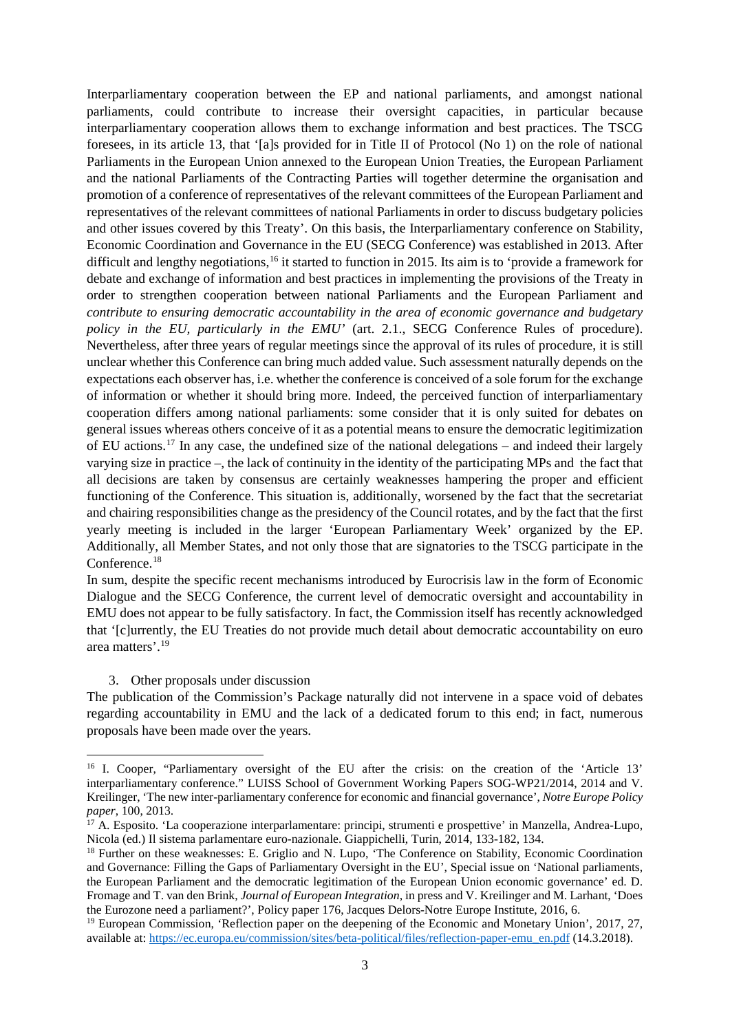Interparliamentary cooperation between the EP and national parliaments, and amongst national parliaments, could contribute to increase their oversight capacities, in particular because interparliamentary cooperation allows them to exchange information and best practices. The TSCG foresees, in its article 13, that '[a]s provided for in Title II of Protocol (No 1) on the role of national Parliaments in the European Union annexed to the European Union Treaties, the European Parliament and the national Parliaments of the Contracting Parties will together determine the organisation and promotion of a conference of representatives of the relevant committees of the European Parliament and representatives of the relevant committees of national Parliaments in order to discuss budgetary policies and other issues covered by this Treaty'. On this basis, the Interparliamentary conference on Stability, Economic Coordination and Governance in the EU (SECG Conference) was established in 2013. After difficult and lengthy negotiations,<sup>[16](#page-4-0)</sup> it started to function in 2015. Its aim is to 'provide a framework for debate and exchange of information and best practices in implementing the provisions of the Treaty in order to strengthen cooperation between national Parliaments and the European Parliament and *contribute to ensuring democratic accountability in the area of economic governance and budgetary policy in the EU, particularly in the EMU'* (art. 2.1., SECG Conference Rules of procedure). Nevertheless, after three years of regular meetings since the approval of its rules of procedure, it is still unclear whether this Conference can bring much added value. Such assessment naturally depends on the expectations each observer has, i.e. whether the conference is conceived of a sole forum for the exchange of information or whether it should bring more. Indeed, the perceived function of interparliamentary cooperation differs among national parliaments: some consider that it is only suited for debates on general issues whereas others conceive of it as a potential means to ensure the democratic legitimization of EU actions.[17](#page-4-1) In any case, the undefined size of the national delegations – and indeed their largely varying size in practice –, the lack of continuity in the identity of the participating MPs and the fact that all decisions are taken by consensus are certainly weaknesses hampering the proper and efficient functioning of the Conference. This situation is, additionally, worsened by the fact that the secretariat and chairing responsibilities change as the presidency of the Council rotates, and by the fact that the first yearly meeting is included in the larger 'European Parliamentary Week' organized by the EP. Additionally, all Member States, and not only those that are signatories to the TSCG participate in the Conference.<sup>[18](#page-4-2)</sup>

In sum, despite the specific recent mechanisms introduced by Eurocrisis law in the form of Economic Dialogue and the SECG Conference, the current level of democratic oversight and accountability in EMU does not appear to be fully satisfactory. In fact, the Commission itself has recently acknowledged that '[c]urrently, the EU Treaties do not provide much detail about democratic accountability on euro area matters'.[19](#page-4-3)

#### 3. Other proposals under discussion

The publication of the Commission's Package naturally did not intervene in a space void of debates regarding accountability in EMU and the lack of a dedicated forum to this end; in fact, numerous proposals have been made over the years.

<span id="page-4-0"></span><sup>&</sup>lt;sup>16</sup> I. Cooper, "Parliamentary oversight of the EU after the crisis: on the creation of the 'Article 13' interparliamentary conference." LUISS School of Government Working Papers SOG-WP21/2014, 2014 and V. Kreilinger, 'The new inter-parliamentary conference for economic and financial governance', *Notre Europe Policy paper*, 100, 2013.

<span id="page-4-1"></span> $17$  A. Esposito. 'La cooperazione interparlamentare: principi, strumenti e prospettive' in Manzella, Andrea-Lupo, Nicola (ed.) Il sistema parlamentare euro-nazionale. Giappichelli. Turin. 2014. 133-182. 134.

<span id="page-4-2"></span><sup>&</sup>lt;sup>18</sup> Further on these weaknesses: E. Griglio and N. Lupo, 'The Conference on Stability, Economic Coordination and Governance: Filling the Gaps of Parliamentary Oversight in the EU', Special issue on 'National parliaments, the European Parliament and the democratic legitimation of the European Union economic governance' ed. D. Fromage and T. van den Brink, *Journal of European Integration*, in press and V. Kreilinger and M. Larhant, 'Does the Eurozone need a parliament?', Policy paper 176, Jacques Delors-Notre Europe Institute, 2016, 6.

<span id="page-4-3"></span><sup>&</sup>lt;sup>19</sup> European Commission, 'Reflection paper on the deepening of the Economic and Monetary Union', 2017, 27, available at: [https://ec.europa.eu/commission/sites/beta-political/files/reflection-paper-emu\\_en.pdf](https://ec.europa.eu/commission/sites/beta-political/files/reflection-paper-emu_en.pdf) (14.3.2018).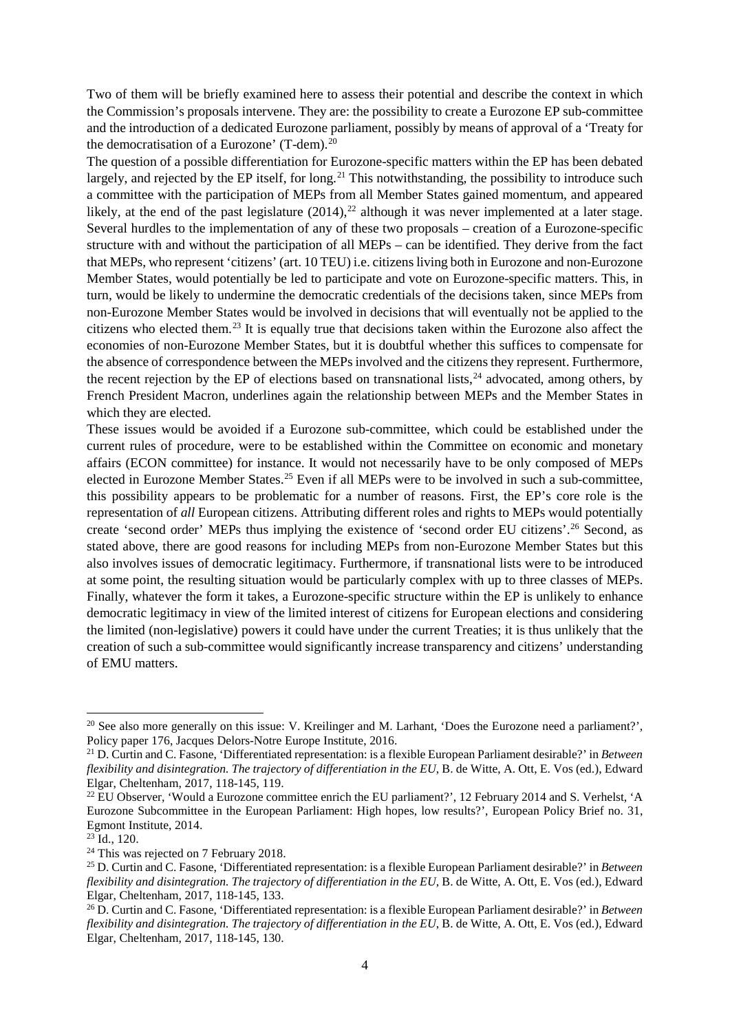Two of them will be briefly examined here to assess their potential and describe the context in which the Commission's proposals intervene. They are: the possibility to create a Eurozone EP sub-committee and the introduction of a dedicated Eurozone parliament, possibly by means of approval of a 'Treaty for the democratisation of a Eurozone' (T-dem). [20](#page-5-0)

The question of a possible differentiation for Eurozone-specific matters within the EP has been debated largely, and rejected by the EP itself, for long.<sup>[21](#page-5-1)</sup> This notwithstanding, the possibility to introduce such a committee with the participation of MEPs from all Member States gained momentum, and appeared likely, at the end of the past legislature  $(2014)$ ,<sup>[22](#page-5-2)</sup> although it was never implemented at a later stage. Several hurdles to the implementation of any of these two proposals – creation of a Eurozone-specific structure with and without the participation of all MEPs – can be identified. They derive from the fact that MEPs, who represent 'citizens' (art. 10 TEU) i.e. citizens living both in Eurozone and non-Eurozone Member States, would potentially be led to participate and vote on Eurozone-specific matters. This, in turn, would be likely to undermine the democratic credentials of the decisions taken, since MEPs from non-Eurozone Member States would be involved in decisions that will eventually not be applied to the citizens who elected them.[23](#page-5-3) It is equally true that decisions taken within the Eurozone also affect the economies of non-Eurozone Member States, but it is doubtful whether this suffices to compensate for the absence of correspondence between the MEPs involved and the citizens they represent. Furthermore, the recent rejection by the EP of elections based on transnational lists, $^{24}$  $^{24}$  $^{24}$  advocated, among others, by French President Macron, underlines again the relationship between MEPs and the Member States in which they are elected.

These issues would be avoided if a Eurozone sub-committee, which could be established under the current rules of procedure, were to be established within the Committee on economic and monetary affairs (ECON committee) for instance. It would not necessarily have to be only composed of MEPs elected in Eurozone Member States.<sup>[25](#page-5-5)</sup> Even if all MEPs were to be involved in such a sub-committee, this possibility appears to be problematic for a number of reasons. First, the EP's core role is the representation of *all* European citizens. Attributing different roles and rights to MEPs would potentially create 'second order' MEPs thus implying the existence of 'second order EU citizens'[.26](#page-5-6) Second, as stated above, there are good reasons for including MEPs from non-Eurozone Member States but this also involves issues of democratic legitimacy. Furthermore, if transnational lists were to be introduced at some point, the resulting situation would be particularly complex with up to three classes of MEPs. Finally, whatever the form it takes, a Eurozone-specific structure within the EP is unlikely to enhance democratic legitimacy in view of the limited interest of citizens for European elections and considering the limited (non-legislative) powers it could have under the current Treaties; it is thus unlikely that the creation of such a sub-committee would significantly increase transparency and citizens' understanding of EMU matters.

<span id="page-5-0"></span><sup>&</sup>lt;sup>20</sup> See also more generally on this issue: V. Kreilinger and M. Larhant, 'Does the Eurozone need a parliament?', Policy paper 176, Jacques Delors-Notre Europe Institute, 2016. 21 D. Curtin and C. Fasone, 'Differentiated representation: is a flexible European Parliament desirable?' in *Between* 

<span id="page-5-1"></span>*flexibility and disintegration. The trajectory of differentiation in the EU*, B. de Witte, A. Ott, E. Vos (ed.), Edward Elgar, Cheltenham, 2017, 118-145, 119.

<span id="page-5-2"></span><sup>&</sup>lt;sup>22</sup> EU Observer, 'Would a Eurozone committee enrich the EU parliament?', 12 February 2014 and S. Verhelst, 'A Eurozone Subcommittee in the European Parliament: High hopes, low results?', European Policy Brief no. 31, Egmont Institute, 2014.

<span id="page-5-3"></span> $^{23}$  Id., 120.

<span id="page-5-5"></span><span id="page-5-4"></span><sup>&</sup>lt;sup>24</sup> This was rejected on 7 February 2018.<br><sup>25</sup> D. Curtin and C. Fasone, 'Differentiated representation: is a flexible European Parliament desirable?' in *Between flexibility and disintegration. The trajectory of differentiation in the EU*, B. de Witte, A. Ott, E. Vos (ed.), Edward Elgar, Cheltenham, 2017, 118-145, 133.

<span id="page-5-6"></span><sup>26</sup> D. Curtin and C. Fasone, 'Differentiated representation: is a flexible European Parliament desirable?' in *Between flexibility and disintegration. The trajectory of differentiation in the EU*, B. de Witte, A. Ott, E. Vos (ed.), Edward Elgar, Cheltenham, 2017, 118-145, 130.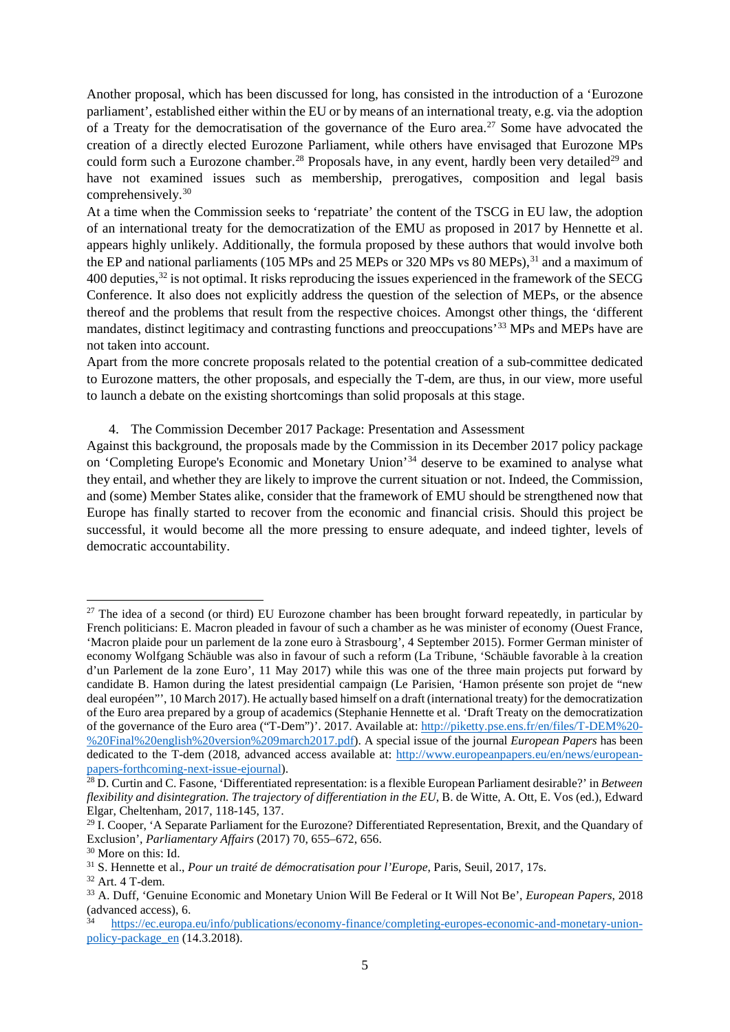Another proposal, which has been discussed for long, has consisted in the introduction of a 'Eurozone parliament', established either within the EU or by means of an international treaty, e.g. via the adoption of a Treaty for the democratisation of the governance of the Euro area.<sup>[27](#page-6-0)</sup> Some have advocated the creation of a directly elected Eurozone Parliament, while others have envisaged that Eurozone MPs could form such a Eurozone chamber.<sup>[28](#page-6-1)</sup> Proposals have, in any event, hardly been very detailed<sup>[29](#page-6-2)</sup> and have not examined issues such as membership, prerogatives, composition and legal basis comprehensively.[30](#page-6-3)

At a time when the Commission seeks to 'repatriate' the content of the TSCG in EU law, the adoption of an international treaty for the democratization of the EMU as proposed in 2017 by Hennette et al. appears highly unlikely. Additionally, the formula proposed by these authors that would involve both the EP and national parliaments (105 MPs and 25 MEPs or 320 MPs vs 80 MEPs),<sup>[31](#page-6-4)</sup> and a maximum of 400 deputies,[32](#page-6-5) is not optimal. It risks reproducing the issues experienced in the framework of the SECG Conference. It also does not explicitly address the question of the selection of MEPs, or the absence thereof and the problems that result from the respective choices. Amongst other things, the 'different mandates, distinct legitimacy and contrasting functions and preoccupations'[33](#page-6-6) MPs and MEPs have are not taken into account.

Apart from the more concrete proposals related to the potential creation of a sub-committee dedicated to Eurozone matters, the other proposals, and especially the T-dem, are thus, in our view, more useful to launch a debate on the existing shortcomings than solid proposals at this stage.

4. The Commission December 2017 Package: Presentation and Assessment

Against this background, the proposals made by the Commission in its December 2017 policy package on 'Completing Europe's Economic and Monetary Union'[34](#page-6-7) deserve to be examined to analyse what they entail, and whether they are likely to improve the current situation or not. Indeed, the Commission, and (some) Member States alike, consider that the framework of EMU should be strengthened now that Europe has finally started to recover from the economic and financial crisis. Should this project be successful, it would become all the more pressing to ensure adequate, and indeed tighter, levels of democratic accountability.

<span id="page-6-0"></span> $27$  The idea of a second (or third) EU Eurozone chamber has been brought forward repeatedly, in particular by French politicians: E. Macron pleaded in favour of such a chamber as he was minister of economy (Ouest France, 'Macron plaide pour un parlement de la zone euro à Strasbourg', 4 September 2015). Former German minister of economy Wolfgang Schäuble was also in favour of such a reform (La Tribune, 'Schäuble favorable à la creation d'un Parlement de la zone Euro', 11 May 2017) while this was one of the three main projects put forward by candidate B. Hamon during the latest presidential campaign (Le Parisien, 'Hamon présente son projet de "new deal européen"', 10 March 2017). He actually based himself on a draft (international treaty) for the democratization of the Euro area prepared by a group of academics (Stephanie Hennette et al. 'Draft Treaty on the democratization of the governance of the Euro area ("T-Dem")'. 2017. Available at[: http://piketty.pse.ens.fr/en/files/T-DEM%20-](http://piketty.pse.ens.fr/en/files/T-DEM%20-%20Final%20english%20version%209march2017.pdf) [%20Final%20english%20version%209march2017.pdf\)](http://piketty.pse.ens.fr/en/files/T-DEM%20-%20Final%20english%20version%209march2017.pdf). A special issue of the journal *European Papers* has been dedicated to the T-dem (2018, advanced access available at: [http://www.europeanpapers.eu/en/news/european](http://www.europeanpapers.eu/en/news/european-papers-forthcoming-next-issue-ejournal)[papers-forthcoming-next-issue-ejournal\)](http://www.europeanpapers.eu/en/news/european-papers-forthcoming-next-issue-ejournal). 28 D. Curtin and C. Fasone, 'Differentiated representation: is a flexible European Parliament desirable?' in *Between* 

<span id="page-6-1"></span>*flexibility and disintegration. The trajectory of differentiation in the EU*, B. de Witte, A. Ott, E. Vos (ed.), Edward Elgar, Cheltenham, 2017, 118-145, 137.

<span id="page-6-2"></span><sup>&</sup>lt;sup>29</sup> I. Cooper, 'A Separate Parliament for the Eurozone? Differentiated Representation, Brexit, and the Quandary of Exclusion', *Parliamentary Affairs* (2017) 70, 655–672, 656.

<span id="page-6-3"></span><sup>&</sup>lt;sup>30</sup> More on this: Id.<br><sup>31</sup> S. Hennette et al., *Pour un traité de démocratisation pour l'Europe*, Paris, Seuil, 2017, 17s.

<span id="page-6-5"></span><span id="page-6-4"></span><sup>32</sup> Art. 4 T-dem.

<span id="page-6-6"></span><sup>33</sup> A. Duff, 'Genuine Economic and Monetary Union Will Be Federal or It Will Not Be', *European Papers*, 2018 (advanced access), 6.

<span id="page-6-7"></span><sup>34</sup> [https://ec.europa.eu/info/publications/economy-finance/completing-europes-economic-and-monetary-union](https://ec.europa.eu/info/publications/economy-finance/completing-europes-economic-and-monetary-union-policy-package_en)[policy-package\\_en](https://ec.europa.eu/info/publications/economy-finance/completing-europes-economic-and-monetary-union-policy-package_en) (14.3.2018).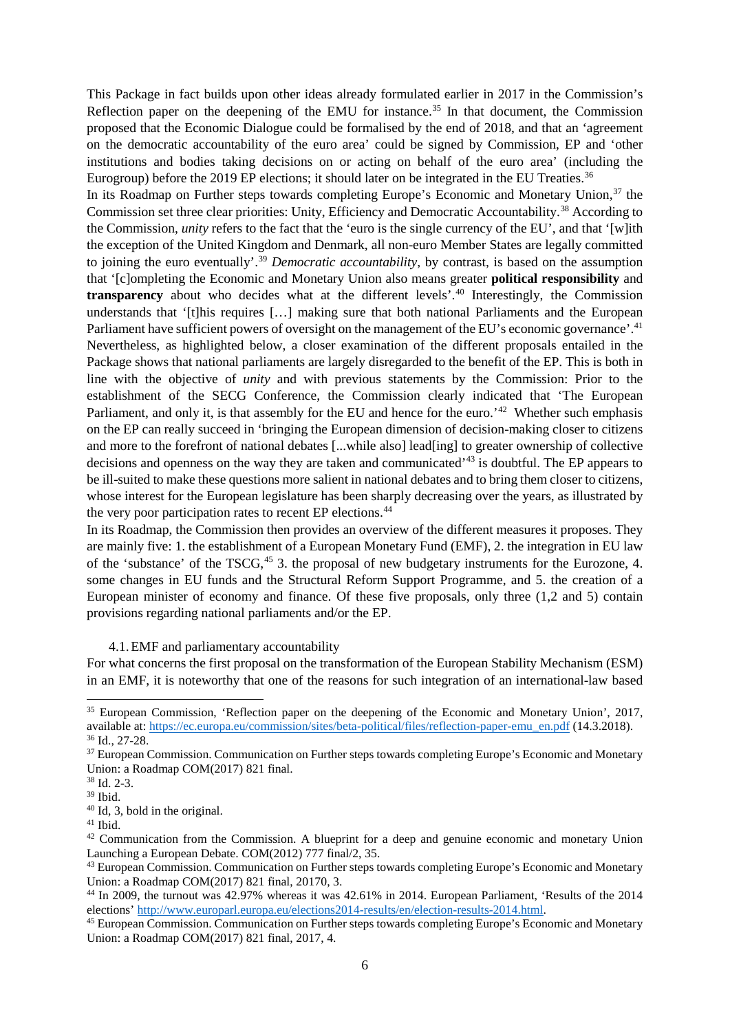This Package in fact builds upon other ideas already formulated earlier in 2017 in the Commission's Reflection paper on the deepening of the EMU for instance.<sup>[35](#page-7-0)</sup> In that document, the Commission proposed that the Economic Dialogue could be formalised by the end of 2018, and that an 'agreement on the democratic accountability of the euro area' could be signed by Commission, EP and 'other institutions and bodies taking decisions on or acting on behalf of the euro area' (including the Eurogroup) before the 2019 EP elections; it should later on be integrated in the EU Treaties.<sup>[36](#page-7-1)</sup>

In its Roadmap on Further steps towards completing Europe's Economic and Monetary Union,<sup>[37](#page-7-2)</sup> the Commission set three clear priorities: Unity, Efficiency and Democratic Accountability.[38](#page-7-3) According to the Commission, *unity* refers to the fact that the 'euro is the single currency of the EU', and that '[w]ith the exception of the United Kingdom and Denmark, all non-euro Member States are legally committed to joining the euro eventually'.[39](#page-7-4) *Democratic accountability*, by contrast, is based on the assumption that '[c]ompleting the Economic and Monetary Union also means greater **political responsibility** and **transparency** about who decides what at the different levels'.<sup>[40](#page-7-5)</sup> Interestingly, the Commission understands that '[t]his requires [...] making sure that both national Parliaments and the European Parliament have sufficient powers of oversight on the management of the EU's economic governance'.<sup>41</sup> Nevertheless, as highlighted below, a closer examination of the different proposals entailed in the Package shows that national parliaments are largely disregarded to the benefit of the EP. This is both in line with the objective of *unity* and with previous statements by the Commission: Prior to the establishment of the SECG Conference, the Commission clearly indicated that 'The European Parliament, and only it, is that assembly for the EU and hence for the euro.<sup>'[42](#page-7-7)</sup> Whether such emphasis on the EP can really succeed in 'bringing the European dimension of decision-making closer to citizens and more to the forefront of national debates [...while also] lead[ing] to greater ownership of collective decisions and openness on the way they are taken and communicated<sup>'[43](#page-7-8)</sup> is doubtful. The EP appears to be ill-suited to make these questions more salient in national debates and to bring them closer to citizens, whose interest for the European legislature has been sharply decreasing over the years, as illustrated by the very poor participation rates to recent EP elections.[44](#page-7-9)

In its Roadmap, the Commission then provides an overview of the different measures it proposes. They are mainly five: 1. the establishment of a European Monetary Fund (EMF), 2. the integration in EU law of the 'substance' of the TSCG, [45](#page-7-10) 3. the proposal of new budgetary instruments for the Eurozone, 4. some changes in EU funds and the Structural Reform Support Programme, and 5. the creation of a European minister of economy and finance. Of these five proposals, only three (1,2 and 5) contain provisions regarding national parliaments and/or the EP.

#### 4.1.EMF and parliamentary accountability

For what concerns the first proposal on the transformation of the European Stability Mechanism (ESM) in an EMF, it is noteworthy that one of the reasons for such integration of an international-law based

<span id="page-7-0"></span> <sup>35</sup> European Commission, 'Reflection paper on the deepening of the Economic and Monetary Union', 2017, available at: https://ec.europa.eu/commission/sites/beta-political/files/reflection-paper-emu\_en.pdf (14.3.2018). 36 Id., 27-28.

<span id="page-7-2"></span><span id="page-7-1"></span><sup>&</sup>lt;sup>37</sup> European Commission. Communication on Further steps towards completing Europe's Economic and Monetary Union: a Roadmap COM(2017) 821 final.

<span id="page-7-3"></span><sup>38</sup> Id. 2-3.

<sup>39</sup> Ibid.

<span id="page-7-5"></span><span id="page-7-4"></span> $40$  Id, 3, bold in the original.<br> $41$  Ibid.

<span id="page-7-7"></span><span id="page-7-6"></span><sup>&</sup>lt;sup>42</sup> Communication from the Commission. A blueprint for a deep and genuine economic and monetary Union Launching a European Debate. COM(2012) 777 final/2, 35.<br><sup>43</sup> European Commission. Communication on Further steps towards completing Europe's Economic and Monetary

<span id="page-7-8"></span>Union: a Roadmap COM(2017) 821 final, 20170, 3.

<span id="page-7-9"></span><sup>&</sup>lt;sup>44</sup> In 2009, the turnout was 42.97% whereas it was 42.61% in 2014. European Parliament, 'Results of the 2014 elections' http://www.europarl.europa.eu/elections2014-results/en/election-results-2014.html.

<span id="page-7-10"></span><sup>&</sup>lt;sup>45</sup> European Commission. Communication on Further steps towards completing Europe's Economic and Monetary Union: a Roadmap COM(2017) 821 final, 2017, 4.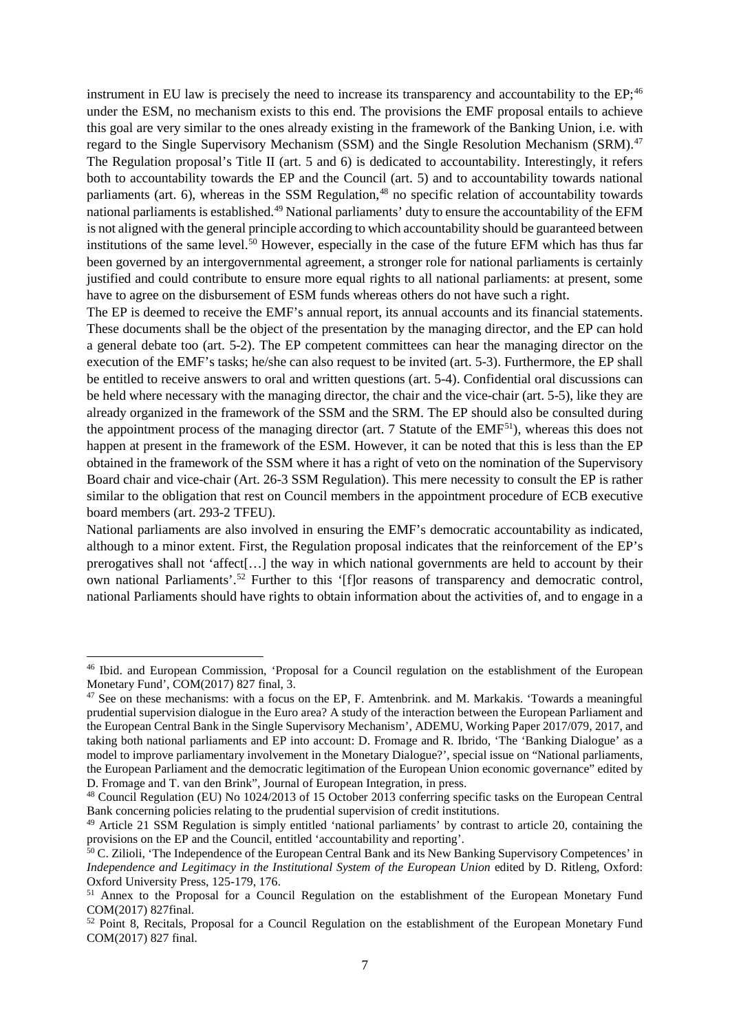instrument in EU law is precisely the need to increase its transparency and accountability to the EP;<sup>[46](#page-8-0)</sup> under the ESM, no mechanism exists to this end. The provisions the EMF proposal entails to achieve this goal are very similar to the ones already existing in the framework of the Banking Union, i.e. with regard to the Single Supervisory Mechanism (SSM) and the Single Resolution Mechanism (SRM).<sup>[47](#page-8-1)</sup> The Regulation proposal's Title II (art. 5 and 6) is dedicated to accountability. Interestingly, it refers both to accountability towards the EP and the Council (art. 5) and to accountability towards national parliaments (art. 6), whereas in the SSM Regulation, $48$  no specific relation of accountability towards national parliaments is established.<sup>[49](#page-8-3)</sup> National parliaments' duty to ensure the accountability of the EFM is not aligned with the general principle according to which accountability should be guaranteed between institutions of the same level.<sup>[50](#page-8-4)</sup> However, especially in the case of the future EFM which has thus far been governed by an intergovernmental agreement, a stronger role for national parliaments is certainly justified and could contribute to ensure more equal rights to all national parliaments: at present, some have to agree on the disbursement of ESM funds whereas others do not have such a right.

The EP is deemed to receive the EMF's annual report, its annual accounts and its financial statements. These documents shall be the object of the presentation by the managing director, and the EP can hold a general debate too (art. 5-2). The EP competent committees can hear the managing director on the execution of the EMF's tasks; he/she can also request to be invited (art. 5-3). Furthermore, the EP shall be entitled to receive answers to oral and written questions (art. 5-4). Confidential oral discussions can be held where necessary with the managing director, the chair and the vice-chair (art. 5-5), like they are already organized in the framework of the SSM and the SRM. The EP should also be consulted during the appointment process of the managing director (art. 7 Statute of the  $EMF^{51}$ ), whereas this does not happen at present in the framework of the ESM. However, it can be noted that this is less than the EP obtained in the framework of the SSM where it has a right of veto on the nomination of the Supervisory Board chair and vice-chair (Art. 26-3 SSM Regulation). This mere necessity to consult the EP is rather similar to the obligation that rest on Council members in the appointment procedure of ECB executive board members (art. 293-2 TFEU).

National parliaments are also involved in ensuring the EMF's democratic accountability as indicated, although to a minor extent. First, the Regulation proposal indicates that the reinforcement of the EP's prerogatives shall not 'affect[…] the way in which national governments are held to account by their own national Parliaments'.<sup>[52](#page-8-6)</sup> Further to this '[f]or reasons of transparency and democratic control, national Parliaments should have rights to obtain information about the activities of, and to engage in a

<span id="page-8-0"></span> <sup>46</sup> Ibid. and European Commission, 'Proposal for a Council regulation on the establishment of the European Monetary Fund', COM(2017) 827 final, 3.

<span id="page-8-1"></span> $47$  See on these mechanisms: with a focus on the EP, F. Amtenbrink. and M. Markakis. 'Towards a meaningful prudential supervision dialogue in the Euro area? A study of the interaction between the European Parliament and the European Central Bank in the Single Supervisory Mechanism', ADEMU, Working Paper 2017/079, 2017, and taking both national parliaments and EP into account: D. Fromage and R. Ibrido, 'The 'Banking Dialogue' as a model to improve parliamentary involvement in the Monetary Dialogue?', special issue on "National parliaments, the European Parliament and the democratic legitimation of the European Union economic governance" edited by D. Fromage and T. van den Brink", Journal of European Integration, in press.

<span id="page-8-2"></span><sup>48</sup> Council Regulation (EU) No 1024/2013 of 15 October 2013 conferring specific tasks on the European Central Bank concerning policies relating to the prudential supervision of credit institutions.

<span id="page-8-3"></span><sup>&</sup>lt;sup>49</sup> Article 21 SSM Regulation is simply entitled 'national parliaments' by contrast to article 20, containing the provisions on the EP and the Council, entitled 'accountability and reporting'.

<span id="page-8-4"></span><sup>&</sup>lt;sup>50</sup> C. Zilioli, 'The Independence of the European Central Bank and its New Banking Supervisory Competences' in *Independence and Legitimacy in the Institutional System of the European Union* edited by D. Ritleng, Oxford: Oxford University Press, 125-179, 176.

<span id="page-8-5"></span><sup>&</sup>lt;sup>51</sup> Annex to the Proposal for a Council Regulation on the establishment of the European Monetary Fund COM(2017) 827final.

<span id="page-8-6"></span><sup>&</sup>lt;sup>52</sup> Point 8, Recitals, Proposal for a Council Regulation on the establishment of the European Monetary Fund COM(2017) 827 final.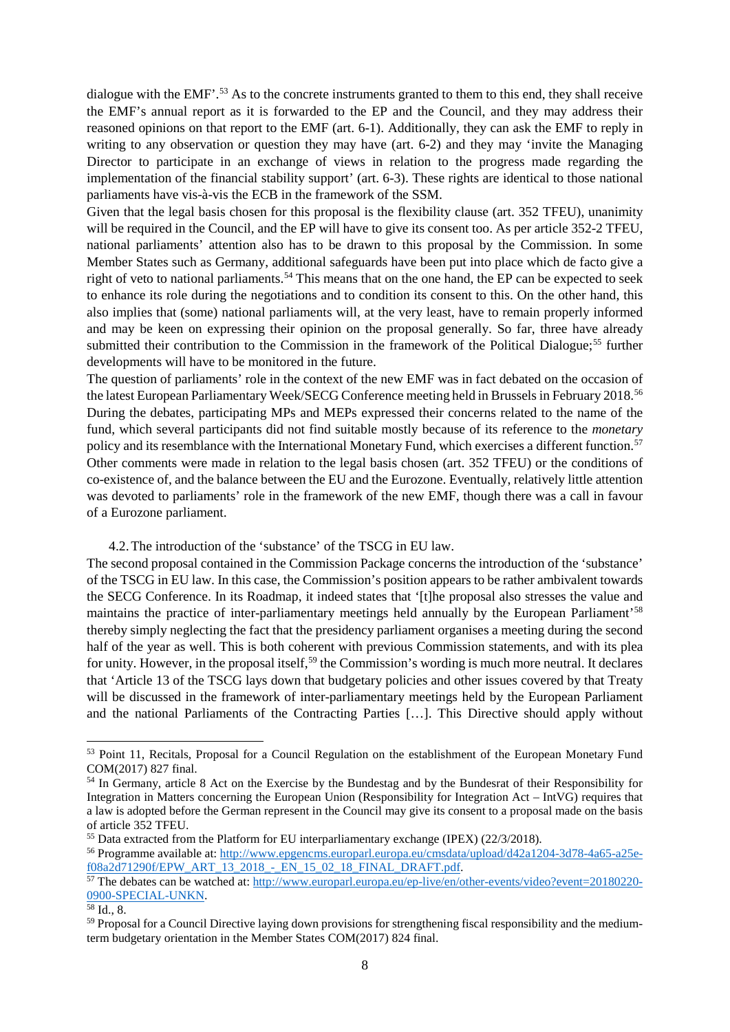dialogue with the EMF'.<sup>[53](#page-9-0)</sup> As to the concrete instruments granted to them to this end, they shall receive the EMF's annual report as it is forwarded to the EP and the Council, and they may address their reasoned opinions on that report to the EMF (art. 6-1). Additionally, they can ask the EMF to reply in writing to any observation or question they may have (art. 6-2) and they may 'invite the Managing Director to participate in an exchange of views in relation to the progress made regarding the implementation of the financial stability support' (art. 6-3). These rights are identical to those national parliaments have vis-à-vis the ECB in the framework of the SSM.

Given that the legal basis chosen for this proposal is the flexibility clause (art. 352 TFEU), unanimity will be required in the Council, and the EP will have to give its consent too. As per article 352-2 TFEU, national parliaments' attention also has to be drawn to this proposal by the Commission. In some Member States such as Germany, additional safeguards have been put into place which de facto give a right of veto to national parliaments.<sup>[54](#page-9-1)</sup> This means that on the one hand, the EP can be expected to seek to enhance its role during the negotiations and to condition its consent to this. On the other hand, this also implies that (some) national parliaments will, at the very least, have to remain properly informed and may be keen on expressing their opinion on the proposal generally. So far, three have already submitted their contribution to the Commission in the framework of the Political Dialogue;<sup>[55](#page-9-2)</sup> further developments will have to be monitored in the future.

The question of parliaments' role in the context of the new EMF was in fact debated on the occasion of the latest European Parliamentary Week/SECG Conference meeting held in Brussels in February 2018.<sup>56</sup> During the debates, participating MPs and MEPs expressed their concerns related to the name of the fund, which several participants did not find suitable mostly because of its reference to the *monetary*  policy and its resemblance with the International Monetary Fund, which exercises a different function[.57](#page-9-4) Other comments were made in relation to the legal basis chosen (art. 352 TFEU) or the conditions of co-existence of, and the balance between the EU and the Eurozone. Eventually, relatively little attention was devoted to parliaments' role in the framework of the new EMF, though there was a call in favour of a Eurozone parliament.

4.2.The introduction of the 'substance' of the TSCG in EU law.

The second proposal contained in the Commission Package concerns the introduction of the 'substance' of the TSCG in EU law. In this case, the Commission's position appears to be rather ambivalent towards the SECG Conference. In its Roadmap, it indeed states that '[t]he proposal also stresses the value and maintains the practice of inter-parliamentary meetings held annually by the European Parliament'<sup>58</sup> thereby simply neglecting the fact that the presidency parliament organises a meeting during the second half of the year as well. This is both coherent with previous Commission statements, and with its plea for unity. However, in the proposal itself,<sup>[59](#page-9-6)</sup> the Commission's wording is much more neutral. It declares that 'Article 13 of the TSCG lays down that budgetary policies and other issues covered by that Treaty will be discussed in the framework of inter-parliamentary meetings held by the European Parliament and the national Parliaments of the Contracting Parties […]. This Directive should apply without

<span id="page-9-0"></span><sup>&</sup>lt;sup>53</sup> Point 11, Recitals, Proposal for a Council Regulation on the establishment of the European Monetary Fund COM(2017) 827 final.

<span id="page-9-1"></span><sup>54</sup> In Germany, article 8 Act on the Exercise by the Bundestag and by the Bundesrat of their Responsibility for Integration in Matters concerning the European Union (Responsibility for Integration Act – IntVG) requires that a law is adopted before the German represent in the Council may give its consent to a proposal made on the basis of article 352 TFEU.<br><sup>55</sup> Data extracted from the Platform for EU internarliamentary exchange (IPEX) (22/3/2018).

<span id="page-9-2"></span>

<span id="page-9-3"></span><sup>56</sup> Programme available at: http://www.epgencms.europarl.europa.eu/cmsdata/upload/d42a1204-3d78-4a65-a25e-f08a2d71290f/EPW ART 13 2018 - EN 15 02 18 FINAL DRAFT.pdf.

<span id="page-9-4"></span><sup>57</sup> The debates can be watched at: [http://www.europarl.europa.eu/ep-live/en/other-events/video?event=20180220-](http://www.europarl.europa.eu/ep-live/en/other-events/video?event=20180220-0900-SPECIAL-UNKN) [0900-SPECIAL-UNKN.](http://www.europarl.europa.eu/ep-live/en/other-events/video?event=20180220-0900-SPECIAL-UNKN)<br><sup>58</sup> Id., 8.

<span id="page-9-5"></span>

<span id="page-9-6"></span><sup>&</sup>lt;sup>59</sup> Proposal for a Council Directive laying down provisions for strengthening fiscal responsibility and the mediumterm budgetary orientation in the Member States COM(2017) 824 final.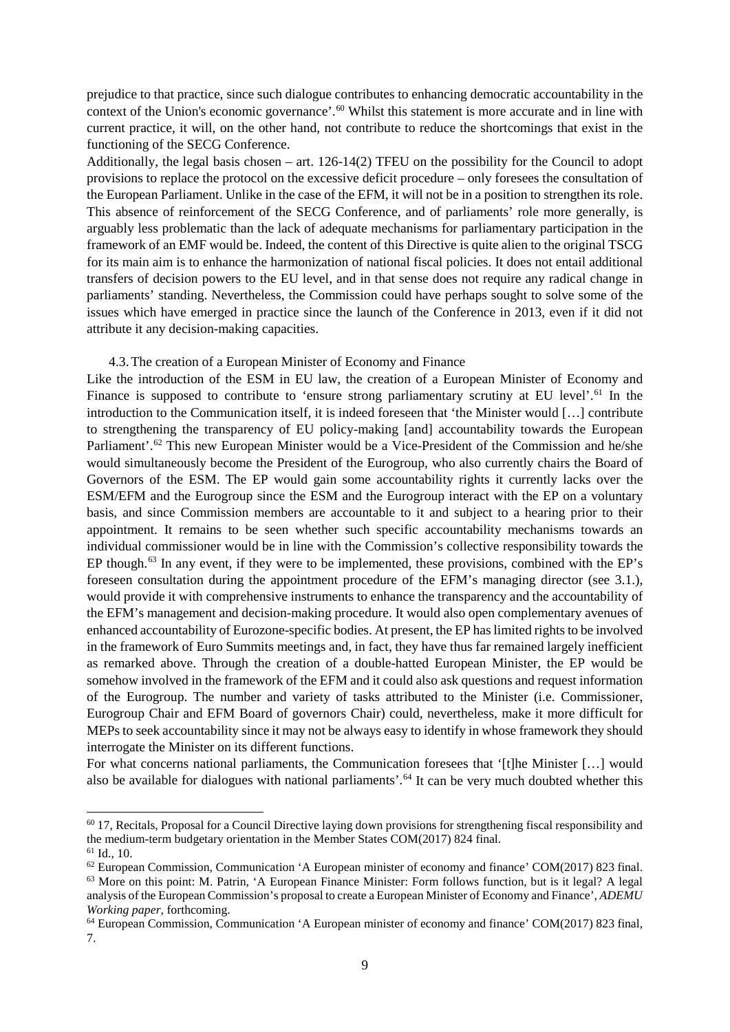prejudice to that practice, since such dialogue contributes to enhancing democratic accountability in the context of the Union's economic governance'.<sup>[60](#page-10-0)</sup> Whilst this statement is more accurate and in line with current practice, it will, on the other hand, not contribute to reduce the shortcomings that exist in the functioning of the SECG Conference.

Additionally, the legal basis chosen – art. 126-14(2) TFEU on the possibility for the Council to adopt provisions to replace the protocol on the excessive deficit procedure – only foresees the consultation of the European Parliament. Unlike in the case of the EFM, it will not be in a position to strengthen its role. This absence of reinforcement of the SECG Conference, and of parliaments' role more generally, is arguably less problematic than the lack of adequate mechanisms for parliamentary participation in the framework of an EMF would be. Indeed, the content of this Directive is quite alien to the original TSCG for its main aim is to enhance the harmonization of national fiscal policies. It does not entail additional transfers of decision powers to the EU level, and in that sense does not require any radical change in parliaments' standing. Nevertheless, the Commission could have perhaps sought to solve some of the issues which have emerged in practice since the launch of the Conference in 2013, even if it did not attribute it any decision-making capacities.

#### 4.3.The creation of a European Minister of Economy and Finance

Like the introduction of the ESM in EU law, the creation of a European Minister of Economy and Finance is supposed to contribute to 'ensure strong parliamentary scrutiny at EU level'.<sup>[61](#page-10-1)</sup> In the introduction to the Communication itself, it is indeed foreseen that 'the Minister would […] contribute to strengthening the transparency of EU policy-making [and] accountability towards the European Parliament'.<sup>[62](#page-10-2)</sup> This new European Minister would be a Vice-President of the Commission and he/she would simultaneously become the President of the Eurogroup, who also currently chairs the Board of Governors of the ESM. The EP would gain some accountability rights it currently lacks over the ESM/EFM and the Eurogroup since the ESM and the Eurogroup interact with the EP on a voluntary basis, and since Commission members are accountable to it and subject to a hearing prior to their appointment. It remains to be seen whether such specific accountability mechanisms towards an individual commissioner would be in line with the Commission's collective responsibility towards the EP though.<sup>[63](#page-10-3)</sup> In any event, if they were to be implemented, these provisions, combined with the EP's foreseen consultation during the appointment procedure of the EFM's managing director (see 3.1.), would provide it with comprehensive instruments to enhance the transparency and the accountability of the EFM's management and decision-making procedure. It would also open complementary avenues of enhanced accountability of Eurozone-specific bodies. At present, the EP has limited rights to be involved in the framework of Euro Summits meetings and, in fact, they have thus far remained largely inefficient as remarked above. Through the creation of a double-hatted European Minister, the EP would be somehow involved in the framework of the EFM and it could also ask questions and request information of the Eurogroup. The number and variety of tasks attributed to the Minister (i.e. Commissioner, Eurogroup Chair and EFM Board of governors Chair) could, nevertheless, make it more difficult for MEPs to seek accountability since it may not be always easy to identify in whose framework they should interrogate the Minister on its different functions.

For what concerns national parliaments, the Communication foresees that '[t]he Minister [...] would also be available for dialogues with national parliaments'.<sup>[64](#page-10-4)</sup> It can be very much doubted whether this

<span id="page-10-0"></span> $60$  17, Recitals, Proposal for a Council Directive laying down provisions for strengthening fiscal responsibility and the medium-term budgetary orientation in the Member States COM(2017) 824 final.  $61$  Id., 10.

<span id="page-10-1"></span>

<span id="page-10-3"></span><span id="page-10-2"></span> $62$  European Commission, Communication 'A European minister of economy and finance' COM(2017) 823 final. <sup>63</sup> More on this point: M. Patrin, 'A European Finance Minister: Form follows function, but is it legal? A legal analysis of the European Commission's proposal to create a European Minister of Economy and Finance', *ADEMU Working paper*, forthcoming.

<span id="page-10-4"></span><sup>64</sup> European Commission, Communication 'A European minister of economy and finance' COM(2017) 823 final, 7.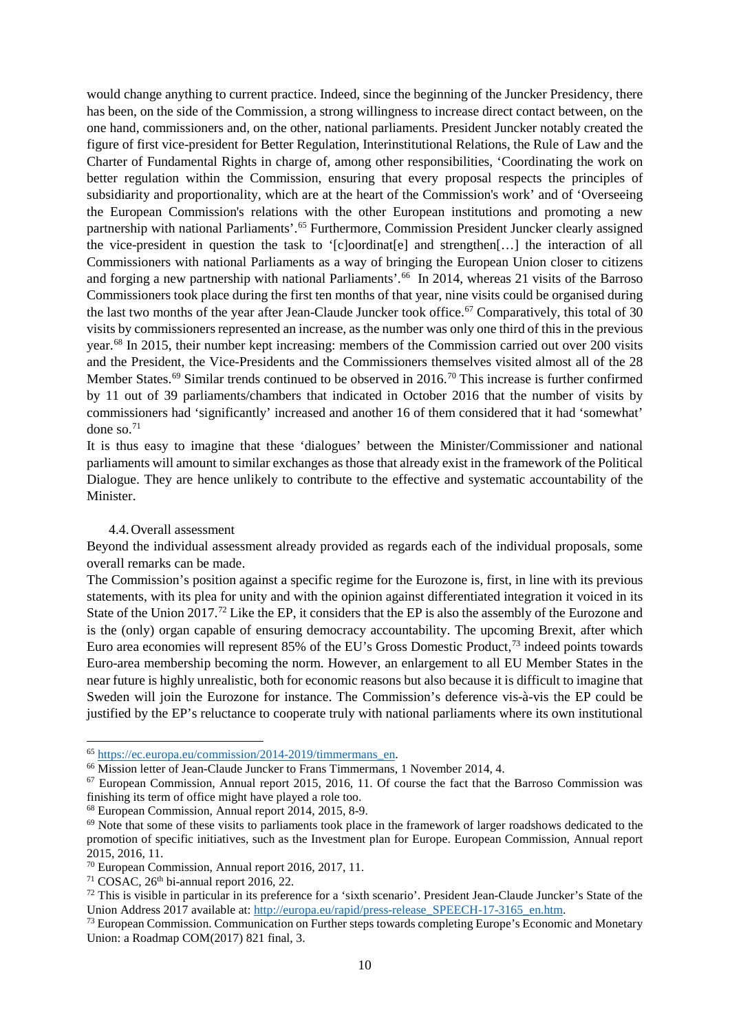would change anything to current practice. Indeed, since the beginning of the Juncker Presidency, there has been, on the side of the Commission, a strong willingness to increase direct contact between, on the one hand, commissioners and, on the other, national parliaments. President Juncker notably created the figure of first vice-president for Better Regulation, Interinstitutional Relations, the Rule of Law and the Charter of Fundamental Rights in charge of, among other responsibilities, 'Coordinating the work on better regulation within the Commission, ensuring that every proposal respects the principles of subsidiarity and proportionality, which are at the heart of the Commission's work' and of 'Overseeing the European Commission's relations with the other European institutions and promoting a new partnership with national Parliaments'.<sup>[65](#page-11-0)</sup> Furthermore, Commission President Juncker clearly assigned the vice-president in question the task to '[c]oordinat[e] and strengthen[…] the interaction of all Commissioners with national Parliaments as a way of bringing the European Union closer to citizens and forging a new partnership with national Parliaments'.<sup>[66](#page-11-1)</sup> In 2014, whereas 21 visits of the Barroso Commissioners took place during the first ten months of that year, nine visits could be organised during the last two months of the year after Jean-Claude Juncker took office.<sup>[67](#page-11-2)</sup> Comparatively, this total of 30 visits by commissioners represented an increase, as the number was only one third of this in the previous year.<sup>[68](#page-11-3)</sup> In 2015, their number kept increasing: members of the Commission carried out over 200 visits and the President, the Vice-Presidents and the Commissioners themselves visited almost all of the 28 Member States.<sup>69</sup> Similar trends continued to be observed in 2016.<sup>[70](#page-11-5)</sup> This increase is further confirmed by 11 out of 39 parliaments/chambers that indicated in October 2016 that the number of visits by commissioners had 'significantly' increased and another 16 of them considered that it had 'somewhat' done so. $71$ 

It is thus easy to imagine that these 'dialogues' between the Minister/Commissioner and national parliaments will amount to similar exchanges as those that already exist in the framework of the Political Dialogue. They are hence unlikely to contribute to the effective and systematic accountability of the Minister.

#### 4.4.Overall assessment

Beyond the individual assessment already provided as regards each of the individual proposals, some overall remarks can be made.

The Commission's position against a specific regime for the Eurozone is, first, in line with its previous statements, with its plea for unity and with the opinion against differentiated integration it voiced in its State of the Union 2017.<sup>[72](#page-11-7)</sup> Like the EP, it considers that the EP is also the assembly of the Eurozone and is the (only) organ capable of ensuring democracy accountability. The upcoming Brexit, after which Euro area economies will represent 85% of the EU's Gross Domestic Product,<sup>[73](#page-11-8)</sup> indeed points towards Euro-area membership becoming the norm. However, an enlargement to all EU Member States in the near future is highly unrealistic, both for economic reasons but also because it is difficult to imagine that Sweden will join the Eurozone for instance. The Commission's deference vis-à-vis the EP could be justified by the EP's reluctance to cooperate truly with national parliaments where its own institutional

<span id="page-11-0"></span><sup>&</sup>lt;sup>65</sup> https://ec.europa.eu/commission/2014-2019/timmermans\_en.<br><sup>66</sup> Mission letter of Jean-Claude Juncker to Frans Timmermans, 1 November 2014, 4.

<span id="page-11-2"></span><span id="page-11-1"></span> $67$  European Commission, Annual report 2015, 2016, 11. Of course the fact that the Barroso Commission was finishing its term of office might have played a role too. 68 European Commission, Annual report 2014, 2015, 8-9.

<span id="page-11-3"></span>

<span id="page-11-4"></span> $69$  Note that some of these visits to parliaments took place in the framework of larger roadshows dedicated to the promotion of specific initiatives, such as the Investment plan for Europe. European Commission, Annual report 2015, 2016, 11.

<span id="page-11-5"></span><sup>70</sup> European Commission, Annual report 2016, 2017, 11.

 $71 \text{ COSAC}, 26$ <sup>th</sup> bi-annual report 2016, 22.

<span id="page-11-7"></span><span id="page-11-6"></span> $72$  This is visible in particular in its preference for a 'sixth scenario'. President Jean-Claude Juncker's State of the Union Address 2017 available at: http://europa.eu/rapid/press-release SPEECH-17-3165 en.htm.

<span id="page-11-8"></span> $<sup>73</sup>$  European Commission. Communication on Further steps towards completing Europe's Economic and Monetary</sup> Union: a Roadmap COM(2017) 821 final, 3.